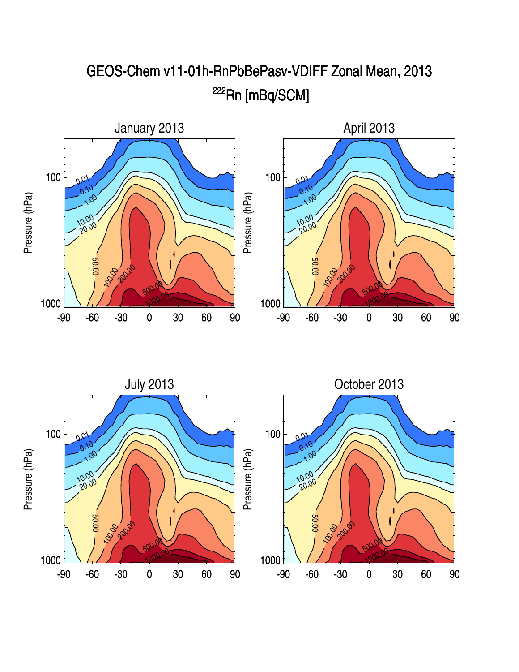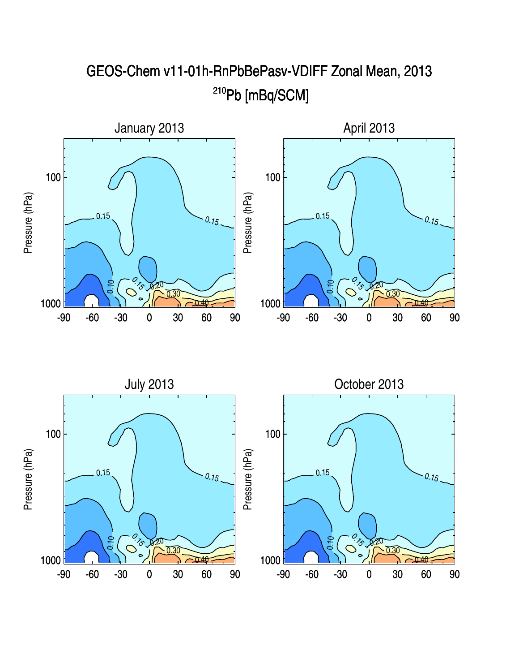

GEOS-Chem v11-01h-RnPbBePasv-VDIFF Zonal Mean, 2013 <sup>210</sup>Pb [mBq/SCM]